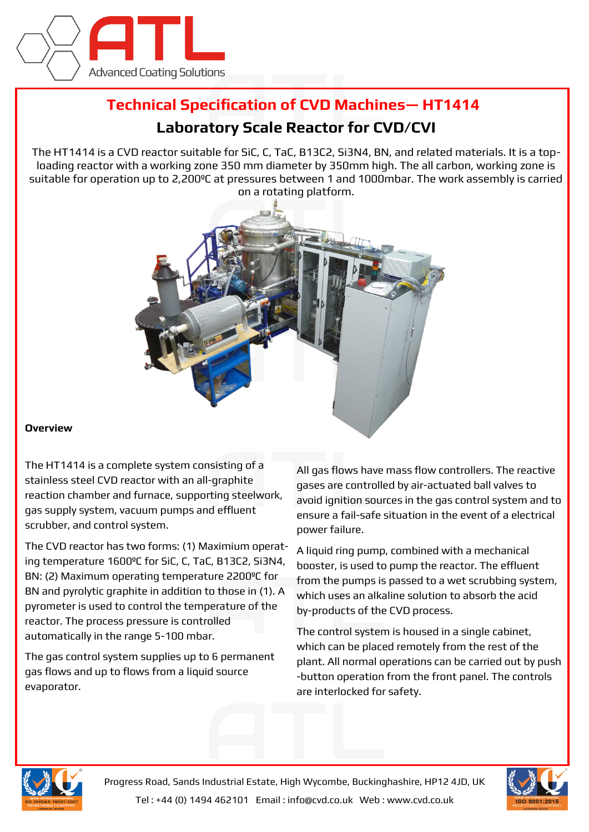

## **Technical Specification of CVD Machines— HT1414**

## **Laboratory Scale Reactor for CVD/CVI**

The HT1414 is a CVD reactor suitable for SiC, C, TaC, B13C2, Si3N4, BN, and related materials. It is a toploading reactor with a working zone 350 mm diameter by 350mm high. The all carbon, working zone is suitable for operation up to 2,200ºC at pressures between 1 and 1000mbar. The work assembly is carried on a rotating platform.



## **Overview**

The HT1414 is a complete system consisting of a stainless steel CVD reactor with an all-graphite reaction chamber and furnace, supporting steelwork, gas supply system, vacuum pumps and effluent scrubber, and control system.

The CVD reactor has two forms: (1) Maximium operating temperature 1600ºC for SiC, C, TaC, B13C2, Si3N4, BN: (2) Maximum operating temperature 2200ºC for BN and pyrolytic graphite in addition to those in (1). A pyrometer is used to control the temperature of the reactor. The process pressure is controlled automatically in the range 5-100 mbar.

The gas control system supplies up to 6 permanent gas flows and up to flows from a liquid source evaporator.

All gas flows have mass flow controllers. The reactive gases are controlled by air-actuated ball valves to avoid ignition sources in the gas control system and to ensure a fail-safe situation in the event of a electrical power failure.

A liquid ring pump, combined with a mechanical booster, is used to pump the reactor. The effluent from the pumps is passed to a wet scrubbing system, which uses an alkaline solution to absorb the acid by-products of the CVD process.

The control system is housed in a single cabinet, which can be placed remotely from the rest of the plant. All normal operations can be carried out by push -button operation from the front panel. The controls are interlocked for safety.



Progress Road, Sands Industrial Estate, High Wycombe, Buckinghashire, HP12 4JD, UK Tel : +44 (0) 1494 462101 Email : info@cvd.co.uk Web : www.cvd.co.uk